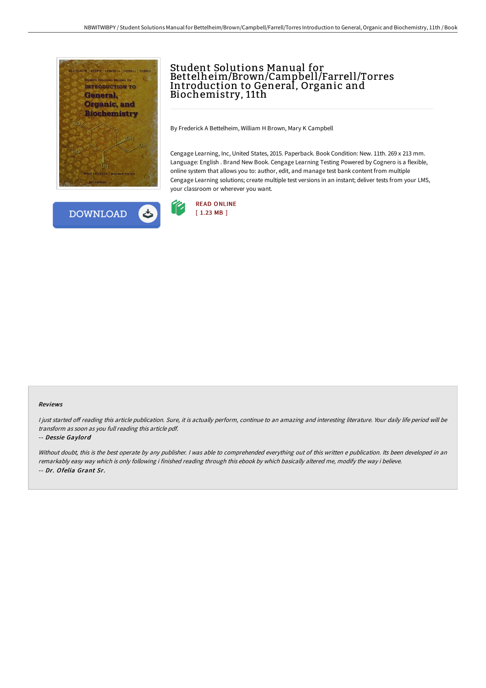



# Student Solutions Manual for Bettelheim/Brown/Campbell/Farrell/Torres Introduction to General, Organic and Biochemistry, 11th

By Frederick A Bettelheim, William H Brown, Mary K Campbell

Cengage Learning, Inc, United States, 2015. Paperback. Book Condition: New. 11th. 269 x 213 mm. Language: English . Brand New Book. Cengage Learning Testing Powered by Cognero is a flexible, online system that allows you to: author, edit, and manage test bank content from multiple Cengage Learning solutions; create multiple test versions in an instant; deliver tests from your LMS, your classroom or wherever you want.



#### Reviews

I just started off reading this article publication. Sure, it is actually perform, continue to an amazing and interesting literature. Your daily life period will be transform as soon as you full reading this article pdf.

### -- Dessie Gaylord

Without doubt, this is the best operate by any publisher. I was able to comprehended everything out of this written e publication. Its been developed in an remarkably easy way which is only following i finished reading through this ebook by which basically altered me, modify the way i believe. -- Dr. Ofelia Grant Sr.